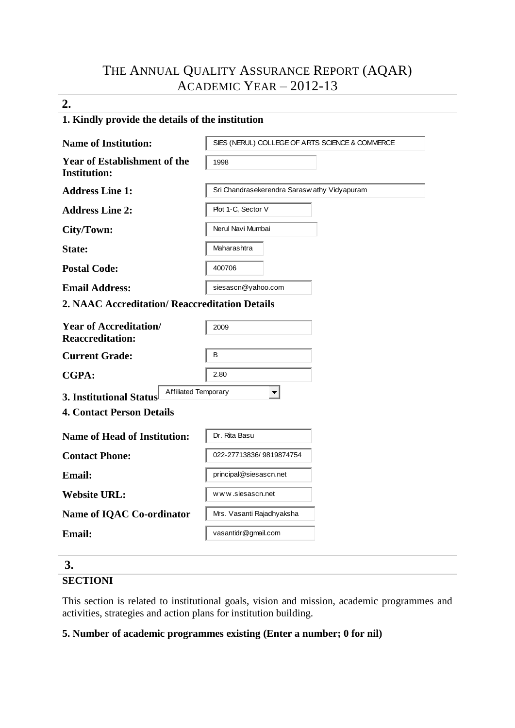# THE ANNUAL QUALITY ASSURANCE REPORT (AQAR) ACADEMIC YEAR – 2012-13

# **2.**

### **1. Kindly provide the details of the institution**

| <b>Name of Institution:</b>                                   | SIES (NERUL) COLLEGE OF ARTS SCIENCE & COMMERCE |
|---------------------------------------------------------------|-------------------------------------------------|
| <b>Year of Establishment of the</b><br><b>Institution:</b>    | 1998                                            |
| <b>Address Line 1:</b>                                        | Sri Chandrasekerendra Saraswathy Vidyapuram     |
| <b>Address Line 2:</b>                                        | Plot 1-C, Sector V                              |
| City/Town:                                                    | Nerul Navi Mumbai                               |
| State:                                                        | Maharashtra                                     |
| <b>Postal Code:</b>                                           | 400706                                          |
| <b>Email Address:</b>                                         | siesascn@yahoo.com                              |
| 2. NAAC Accreditation/ Reaccreditation Details                |                                                 |
| <b>Year of Accreditation/</b><br><b>Reaccreditation:</b>      | 2009                                            |
| <b>Current Grade:</b>                                         | B                                               |
| <b>CGPA:</b>                                                  | 2.80                                            |
| <b>Affiliated Temporary</b><br><b>3. Institutional Status</b> | $\overline{\phantom{m}}$                        |
| <b>4. Contact Person Details</b>                              |                                                 |
| <b>Name of Head of Institution:</b>                           | Dr. Rita Basu                                   |
| <b>Contact Phone:</b>                                         | 022-27713836/9819874754                         |
| <b>Email:</b>                                                 | principal@siesascn.net                          |
| <b>Website URL:</b>                                           | www.siesascn.net                                |
| Name of IQAC Co-ordinator                                     | Mrs. Vasanti Rajadhyaksha                       |
| <b>Email:</b>                                                 | vasantidr@gmail.com                             |

# **3. SECTIONI**

This section is related to institutional goals, vision and mission, academic programmes and activities, strategies and action plans for institution building.

# **5. Number of academic programmes existing (Enter a number; 0 for nil)**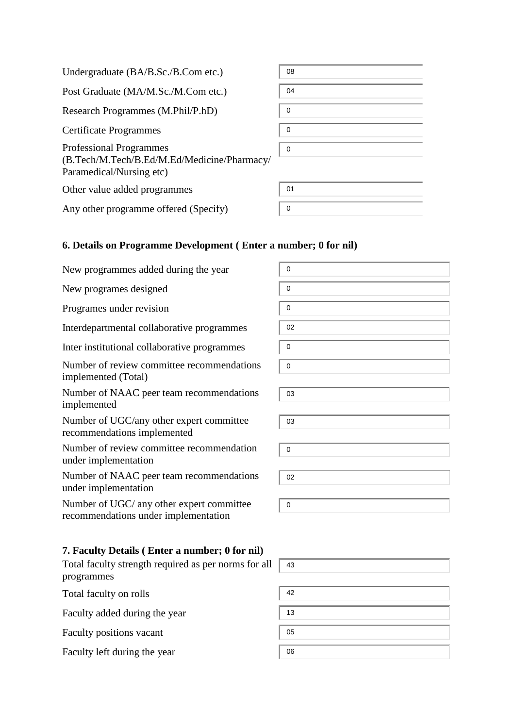| Undergraduate (BA/B.Sc./B.Com etc.)                                                                       | 08          |
|-----------------------------------------------------------------------------------------------------------|-------------|
| Post Graduate (MA/M.Sc./M.Com etc.)                                                                       | 04          |
| Research Programmes (M.Phil/P.hD)                                                                         | 0           |
| Certificate Programmes                                                                                    | 0           |
| <b>Professional Programmes</b><br>(B.Tech/M.Tech/B.Ed/M.Ed/Medicine/Pharmacy/<br>Paramedical/Nursing etc) | $\mathbf 0$ |
| Other value added programmes                                                                              | 01          |
| Any other programme offered (Specify)                                                                     | 0           |
|                                                                                                           |             |

# **6. Details on Programme Development ( Enter a number; 0 for nil)**

| New programmes added during the year                                              | 0           |
|-----------------------------------------------------------------------------------|-------------|
| New programes designed                                                            | $\mathbf 0$ |
| Programes under revision                                                          | $\mathbf 0$ |
| Interdepartmental collaborative programmes                                        | 02          |
| Inter institutional collaborative programmes                                      | $\mathbf 0$ |
| Number of review committee recommendations<br>implemented (Total)                 | $\mathbf 0$ |
| Number of NAAC peer team recommendations<br>implemented                           | 03          |
| Number of UGC/any other expert committee<br>recommendations implemented           | 03          |
| Number of review committee recommendation<br>under implementation                 | $\mathbf 0$ |
| Number of NAAC peer team recommendations<br>under implementation                  | 02          |
| Number of UGC/ any other expert committee<br>recommendations under implementation | $\pmb{0}$   |
| 7. Faculty Details (Enter a number; 0 for nil)                                    |             |
| Total faculty strength required as per norms for all<br>programmes                | 43          |
| Total faculty on rolls                                                            | 42          |

Faculty added during the year

Faculty positions vacant

Faculty left during the year

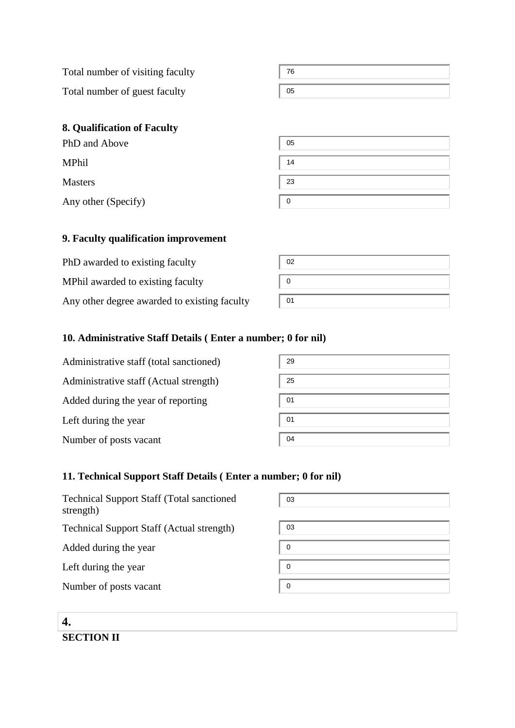Total number of visiting faculty Total number of guest faculty

76 05

# **8. Qualification of Faculty**

| PhD and Above       | 05          |
|---------------------|-------------|
| MPhil               | 14          |
| <b>Masters</b>      | 23          |
| Any other (Specify) | $\mathbf 0$ |
|                     |             |

### **9. Faculty qualification improvement**

| PhD awarded to existing faculty              | 02 |
|----------------------------------------------|----|
| MPhil awarded to existing faculty            |    |
| Any other degree awarded to existing faculty | 01 |

# **10. Administrative Staff Details ( Enter a number; 0 for nil)**

| Administrative staff (total sanctioned) | 29 |
|-----------------------------------------|----|
| Administrative staff (Actual strength)  | 25 |
| Added during the year of reporting      | 01 |
| Left during the year                    | 01 |
| Number of posts vacant                  | 04 |

#### **11. Technical Support Staff Details ( Enter a number; 0 for nil)**

| <b>Technical Support Staff (Total sanctioned)</b><br>strength) | 03 |
|----------------------------------------------------------------|----|
| <b>Technical Support Staff (Actual strength)</b>               | 03 |
| Added during the year                                          | 0  |
| Left during the year                                           | 0  |
| Number of posts vacant                                         | 0  |
|                                                                |    |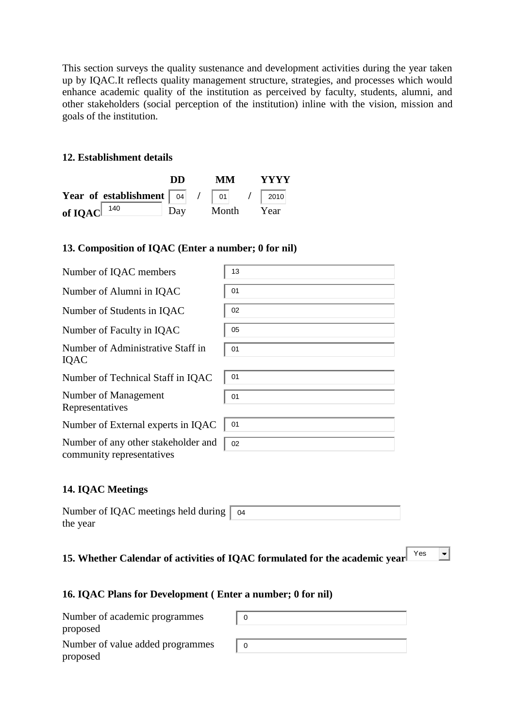This section surveys the quality sustenance and development activities during the year taken up by IQAC.It reflects quality management structure, strategies, and processes which would enhance academic quality of the institution as perceived by faculty, students, alumni, and other stakeholders (social perception of the institution) inline with the vision, mission and goals of the institution.

#### **12. Establishment details**

|                                                                          | DD | MM —      | <b>YYYY</b> |
|--------------------------------------------------------------------------|----|-----------|-------------|
| Year of establishment $\begin{bmatrix} 04 & 7 & 01 \end{bmatrix}$ / 2010 |    |           |             |
| of IQAC $140$                                                            |    | Day Month | Year        |

#### **13. Composition of IQAC (Enter a number; 0 for nil)**

| Number of IQAC members                                           | 13   |
|------------------------------------------------------------------|------|
| Number of Alumni in IQAC                                         | 01   |
| Number of Students in IQAC                                       | 02   |
| Number of Faculty in IQAC                                        | 05   |
| Number of Administrative Staff in<br>IQAC                        | 01   |
| Number of Technical Staff in IQAC                                | 01   |
| Number of Management<br>Representatives                          | 01   |
| Number of External experts in IQAC                               | - 01 |
| Number of any other stakeholder and<br>community representatives | 02   |

#### **14. IQAC Meetings**

| Number of IQAC meetings held during $\vert$ 04 |  |
|------------------------------------------------|--|
| the year                                       |  |

# 15. Whether Calendar of activities of IQAC formulated for the academic year<sup>Nest</sup>

 $\vert \cdot \vert$ 

#### **16. IQAC Plans for Development ( Enter a number; 0 for nil)**

| Number of academic programmes<br>proposed |  |
|-------------------------------------------|--|
| Number of value added programmes          |  |
| proposed                                  |  |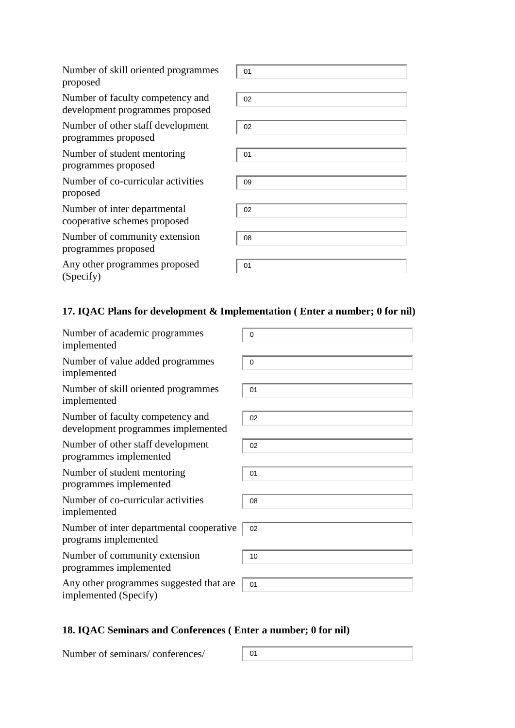| Number of skill oriented programmes<br>proposed                     | 01 |
|---------------------------------------------------------------------|----|
| Number of faculty competency and<br>development programmes proposed | 02 |
| Number of other staff development<br>programmes proposed            | 02 |
| Number of student mentoring<br>programmes proposed                  | 01 |
| Number of co-curricular activities<br>proposed                      | 09 |
| Number of inter departmental<br>cooperative schemes proposed        | 02 |
| Number of community extension<br>programmes proposed                | 08 |
| Any other programmes proposed<br>(Specify)                          | 01 |

# **17. IQAC Plans for development & Implementation ( Enter a number; 0 for nil)**

| Number of academic programmes<br>implemented                           | 0           |
|------------------------------------------------------------------------|-------------|
| Number of value added programmes<br>implemented                        | $\mathbf 0$ |
| Number of skill oriented programmes<br>implemented                     | 01          |
| Number of faculty competency and<br>development programmes implemented | 02          |
| Number of other staff development<br>programmes implemented            | 02          |
| Number of student mentoring<br>programmes implemented                  | 01          |
| Number of co-curricular activities<br>implemented                      | 08          |
| Number of inter departmental cooperative<br>programs implemented       | 02          |
| Number of community extension<br>programmes implemented                | 10          |
| Any other programmes suggested that are<br>implemented (Specify)       | 01          |

# **18. IQAC Seminars and Conferences ( Enter a number; 0 for nil)**

Number of seminars/ conferences/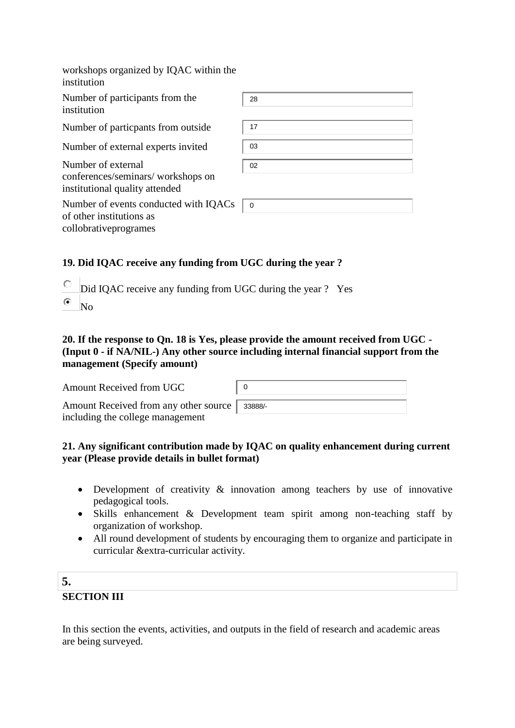| workshops organized by IQAC within the<br>institution                                       |             |
|---------------------------------------------------------------------------------------------|-------------|
| Number of participants from the<br>institution                                              | 28          |
| Number of particpants from outside                                                          | 17          |
| Number of external experts invited                                                          | 03          |
| Number of external<br>conferences/seminars/workshops on<br>institutional quality attended   | 02          |
| Number of events conducted with IQACs<br>of other institutions as<br>collobrative programes | $\mathbf 0$ |

# **19. Did IQAC receive any funding from UGC during the year ?**

О Did IQAC receive any funding from UGC during the year ? Yes  $\circ$ No

### **20. If the response to Qn. 18 is Yes, please provide the amount received from UGC - (Input 0 - if NA/NIL-) Any other source including internal financial support from the management (Specify amount)**

| Amount Received from UGC              |         |
|---------------------------------------|---------|
| Amount Received from any other source | 33888/- |
| including the college management      |         |

### **21. Any significant contribution made by IQAC on quality enhancement during current year (Please provide details in bullet format)**

- Development of creativity  $\&$  innovation among teachers by use of innovative pedagogical tools.
- Skills enhancement & Development team spirit among non-teaching staff by organization of workshop.
- All round development of students by encouraging them to organize and participate in curricular &extra-curricular activity.

# **5. SECTION III**

In this section the events, activities, and outputs in the field of research and academic areas are being surveyed.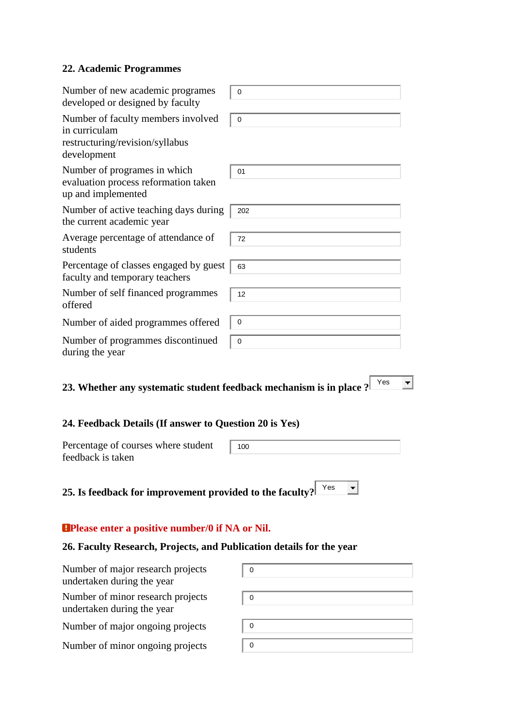### **22. Academic Programmes**

| Number of new academic programes<br>developed or designed by faculty                                  | 0           |  |
|-------------------------------------------------------------------------------------------------------|-------------|--|
| Number of faculty members involved<br>in curriculam<br>restructuring/revision/syllabus<br>development | 0           |  |
| Number of programes in which<br>evaluation process reformation taken<br>up and implemented            | 01          |  |
| Number of active teaching days during<br>the current academic year                                    | 202         |  |
| Average percentage of attendance of<br>students                                                       | 72          |  |
| Percentage of classes engaged by guest<br>faculty and temporary teachers                              | 63          |  |
| Number of self financed programmes<br>offered                                                         | 12          |  |
| Number of aided programmes offered                                                                    | 0           |  |
| Number of programmes discontinued<br>during the year                                                  | $\mathbf 0$ |  |
| Yes<br>23. Whether any systematic student feedback mechanism is in place ?                            |             |  |
| 24. Feedback Details (If answer to Question 20 is Yes)                                                |             |  |
| Percentage of courses where student                                                                   | 100         |  |

 $\overline{\phantom{a}}$ **25. Is feedback for improvement provided to the faculty?** Yes

# **Please enter a positive number/0 if NA or Nil.**

feedback is taken

# **26. Faculty Research, Projects, and Publication details for the year**

| Number of major research projects<br>undertaken during the year | 0           |
|-----------------------------------------------------------------|-------------|
| Number of minor research projects<br>undertaken during the year | 0           |
| Number of major ongoing projects                                | 0           |
| Number of minor ongoing projects                                | $\mathbf 0$ |
|                                                                 |             |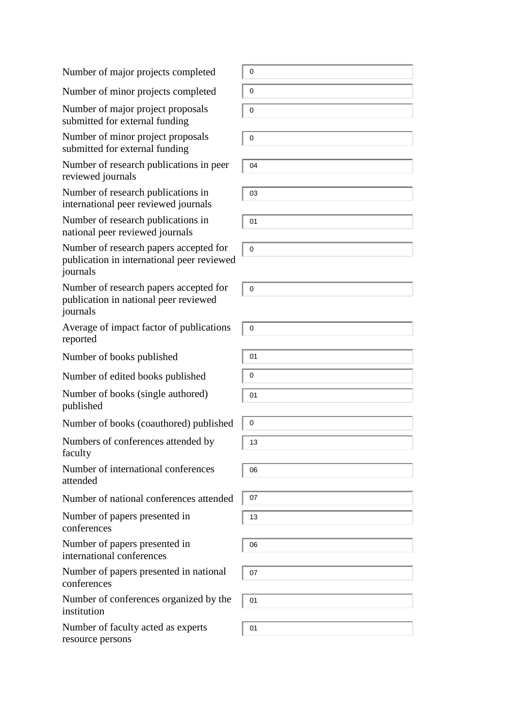Number of major projects completed

Number of minor projects completed

Number of major project proposals submitted for external funding

Number of minor project proposals submitted for external funding

Number of research publications in peer reviewed journals

Number of research publications in international peer reviewed journals

Number of research publications in national peer reviewed journals

Number of research papers accepted for publication in international peer reviewed journals

Number of research papers accepted for publication in national peer reviewed journals

Average of impact factor of publications reported

Number of books published

Number of edited books published

Number of books (single authored) published

Number of books (coauthored) published

Numbers of conferences attended by faculty

Number of international conferences attended

Number of national conferences attended

Number of papers presented in conferences

Number of papers presented in international conferences

Number of papers presented in national conferences

Number of conferences organized by the institution

Number of faculty acted as experts resource persons

0 0 0

0

04

03

01

0

 $\Omega$ 

0



 $\overline{0}$ 13

06

07 13

06

07

01

01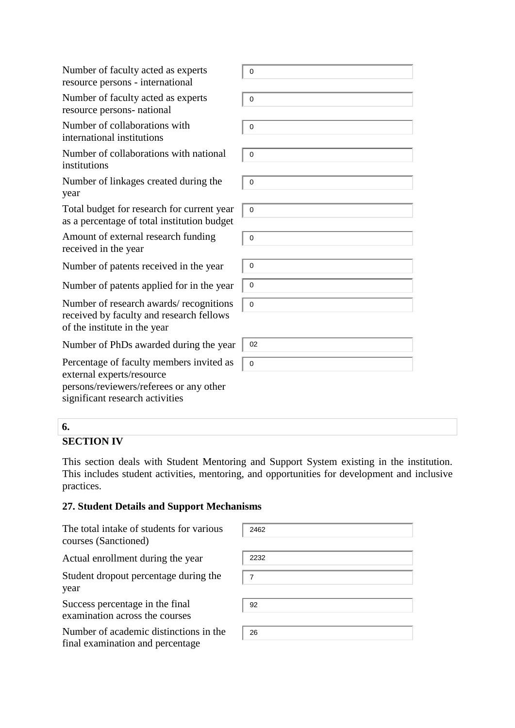Number of faculty acted as experts resource persons - international

Number of faculty acted as experts resource persons- national

Number of collaborations with international institutions

Number of collaborations with national institutions

Number of linkages created during the year

Total budget for research for current year as a percentage of total institution budget

Amount of external research funding received in the year

Number of patents received in the year

Number of patents applied for in the year

Number of research awards/ recognitions received by faculty and research fellows of the institute in the year

Number of PhDs awarded during the year

Percentage of faculty members invited as external experts/resource persons/reviewers/referees or any other significant research activities

| $\mathbf{O}$      |
|-------------------|
|                   |
| $\mathbf{0}$      |
| $\mathbf{0}$      |
| $\mathbf{O}$<br>I |
|                   |
| $\mathbf 0$       |
| $\mathbf{0}$      |
| $\mathbf{0}$      |
|                   |
| $\mathbf 0$       |
| $\mathbf 0$       |
| $\mathbf{O}$      |
|                   |
| 02                |
| $\mathbf 0$       |

#### **6.**

#### **SECTION IV**

This section deals with Student Mentoring and Support System existing in the institution. This includes student activities, mentoring, and opportunities for development and inclusive practices.

#### **27. Student Details and Support Mechanisms**

The total intake of students for various courses (Sanctioned)

Actual enrollment during the year

Student dropout percentage during the year

Success percentage in the final examination across the courses

Number of academic distinctions in the final examination and percentage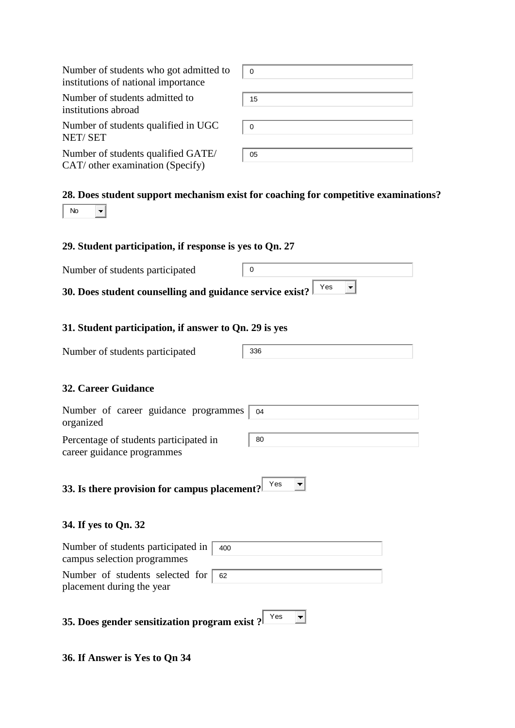| Number of students who got admitted to<br>institutions of national importance            | 0                                                                                   |
|------------------------------------------------------------------------------------------|-------------------------------------------------------------------------------------|
| Number of students admitted to<br>institutions abroad                                    | 15                                                                                  |
| Number of students qualified in UGC<br><b>NET/SET</b>                                    | 0                                                                                   |
| Number of students qualified GATE/<br>CAT/ other examination (Specify)                   | 05                                                                                  |
| <b>No</b>                                                                                | 28. Does student support mechanism exist for coaching for competitive examinations? |
| 29. Student participation, if response is yes to Qn. 27                                  |                                                                                     |
| Number of students participated                                                          | 0                                                                                   |
| 30. Does student counselling and guidance service exist?                                 | Yes                                                                                 |
| 31. Student participation, if answer to Qn. 29 is yes<br>Number of students participated | 336                                                                                 |
| <b>32. Career Guidance</b>                                                               |                                                                                     |
| Number of career guidance programmes<br>organized                                        | 04                                                                                  |
| Percentage of students participated in<br>career guidance programmes                     | 80                                                                                  |
| 33. Is there provision for campus placement?                                             | Yes                                                                                 |
| 34. If yes to Qn. 32                                                                     |                                                                                     |
| Number of students participated in<br>400<br>campus selection programmes                 |                                                                                     |
| Number of students selected for<br>62<br>placement during the year                       |                                                                                     |
| 35. Does gender sensitization program exist?                                             | Yes                                                                                 |

**36. If Answer is Yes to Qn 34**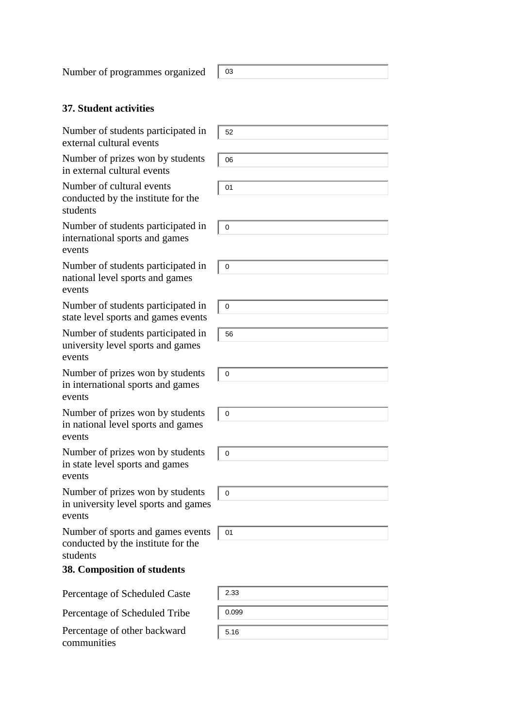Number of programmes organized | 03

# **37. Student activities**

| Number of students participated in<br>external cultural events                      | 52          |
|-------------------------------------------------------------------------------------|-------------|
| Number of prizes won by students<br>in external cultural events                     | 06          |
| Number of cultural events<br>conducted by the institute for the<br>students         | 01          |
| Number of students participated in<br>international sports and games<br>events      | 0           |
| Number of students participated in<br>national level sports and games<br>events     | $\mathbf 0$ |
| Number of students participated in<br>state level sports and games events           | $\mathbf 0$ |
| Number of students participated in<br>university level sports and games<br>events   | 56          |
| Number of prizes won by students<br>in international sports and games<br>events     | $\mathbf 0$ |
| Number of prizes won by students<br>in national level sports and games<br>events    | $\mathbf 0$ |
| Number of prizes won by students<br>in state level sports and games<br>events       | $\pmb{0}$   |
| Number of prizes won by students<br>in university level sports and games<br>events  | $\mathbf 0$ |
| Number of sports and games events<br>conducted by the institute for the<br>students | 01          |
| 38. Composition of students                                                         |             |
| Percentage of Scheduled Caste                                                       | 2.33        |
| Percentage of Scheduled Tribe                                                       | 0.099       |
| Percentage of other backward<br>communities                                         | 5.16        |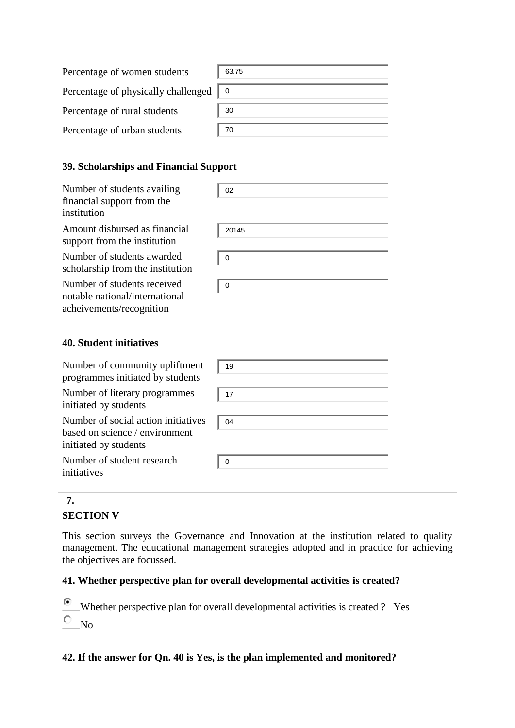| Percentage of women students        | 63.75 |
|-------------------------------------|-------|
| Percentage of physically challenged |       |
| Percentage of rural students        | 30    |
| Percentage of urban students        | 70    |

# **39. Scholarships and Financial Support**

| Number of students availing<br>financial support from the<br>institution                  | 02    |
|-------------------------------------------------------------------------------------------|-------|
| Amount disbursed as financial<br>support from the institution                             | 20145 |
| Number of students awarded<br>scholarship from the institution                            | 0     |
| Number of students received<br>notable national/international<br>acheivements/recognition | 0     |

#### **40. Student initiatives**

| Number of community upliftment<br>programmes initiated by students                             | 19       |
|------------------------------------------------------------------------------------------------|----------|
| Number of literary programmes<br>initiated by students                                         | 17       |
| Number of social action initiatives<br>based on science / environment<br>initiated by students | 04       |
| Number of student research<br>initiatives                                                      | $\Omega$ |
|                                                                                                |          |

# **SECTION V**

This section surveys the Governance and Innovation at the institution related to quality management. The educational management strategies adopted and in practice for achieving the objectives are focussed.

#### **41. Whether perspective plan for overall developmental activities is created?**

- $\odot$ Whether perspective plan for overall developmental activities is created ? Yes
- $\circ$ No

#### **42. If the answer for Qn. 40 is Yes, is the plan implemented and monitored?**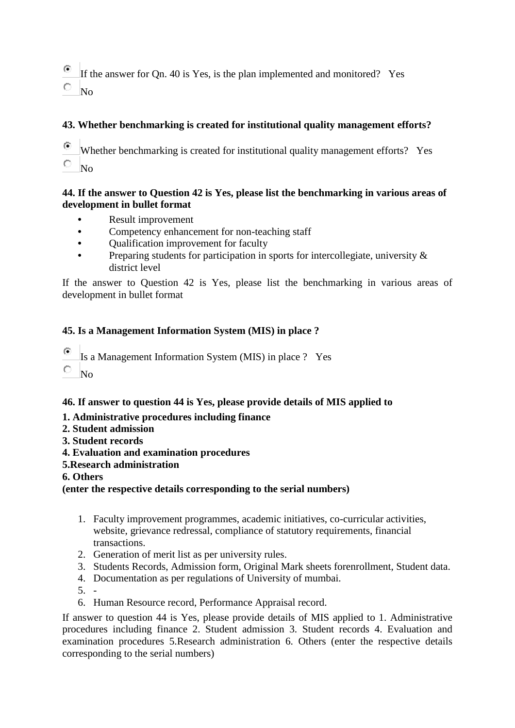$\circ$ If the answer for Qn. 40 is Yes, is the plan implemented and monitored? Yes 0. No

### **43. Whether benchmarking is created for institutional quality management efforts?**

- ⊙ Whether benchmarking is created for institutional quality management efforts? Yes O
- No

#### **44. If the answer to Question 42 is Yes, please list the benchmarking in various areas of development in bullet format**

- **•** Result improvement
- **•** Competency enhancement for non-teaching staff
- **•** Qualification improvement for faculty
- **•** Preparing students for participation in sports for intercollegiate, university & district level

If the answer to Question 42 is Yes, please list the benchmarking in various areas of development in bullet format

### **45. Is a Management Information System (MIS) in place ?**

- $\bullet$ Is a Management Information System (MIS) in place ? Yes
- О No

# **46. If answer to question 44 is Yes, please provide details of MIS applied to**

- **1. Administrative procedures including finance**
- **2. Student admission**
- **3. Student records**
- **4. Evaluation and examination procedures**
- **5.Research administration**
- **6. Others**

**(enter the respective details corresponding to the serial numbers)**

- 1. Faculty improvement programmes, academic initiatives, co-curricular activities, website, grievance redressal, compliance of statutory requirements, financial transactions.
- 2. Generation of merit list as per university rules.
- 3. Students Records, Admission form, Original Mark sheets forenrollment, Student data.
- 4. Documentation as per regulations of University of mumbai.
- 5. -
- 6. Human Resource record, Performance Appraisal record.

If answer to question 44 is Yes, please provide details of MIS applied to 1. Administrative procedures including finance 2. Student admission 3. Student records 4. Evaluation and examination procedures 5.Research administration 6. Others (enter the respective details corresponding to the serial numbers)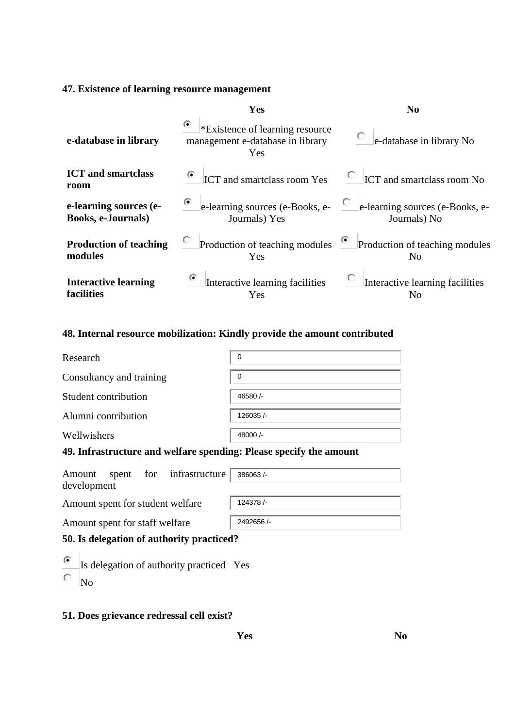# **47. Existence of learning resource management**

|                                                     | Yes                                                                             | N <sub>0</sub>                                                                |
|-----------------------------------------------------|---------------------------------------------------------------------------------|-------------------------------------------------------------------------------|
| e-database in library                               | ۰<br>*Existence of learning resource<br>management e-database in library<br>Yes | О.<br>e-database in library No                                                |
| <b>ICT</b> and smartclass<br>room                   | ICT and smartclass room Yes                                                     | $\circ$ ICT and smartclass room No                                            |
| e-learning sources (e-<br><b>Books, e-Journals)</b> | Journals) Yes                                                                   | • e-learning sources (e-Books, e-<br>Journals) No                             |
| <b>Production of teaching</b><br>modules            | Yes                                                                             | Production of teaching modules $\bullet$ Production of teaching modules<br>No |
| <b>Interactive learning</b><br>facilities           | Interactive learning facilities<br>Yes                                          | Interactive learning facilities<br>No                                         |

# **48. Internal resource mobilization: Kindly provide the amount contributed**

| Research                 | $\mathbf 0$ |
|--------------------------|-------------|
| Consultancy and training | 0           |
| Student contribution     | 46580/-     |
| Alumni contribution      | 126035/     |
| Wellwishers              | 48000/-     |

# **49. Infrastructure and welfare spending: Please specify the amount**

|                                  |  | Amount spent for infrastructure 386063/- |           |
|----------------------------------|--|------------------------------------------|-----------|
| development                      |  |                                          |           |
| Amount spent for student welfare |  |                                          | 124378/-  |
| Amount spent for staff welfare   |  |                                          | 2492656/- |

Amount spent for staff welfare

# **50. Is delegation of authority practiced?**

 $\odot$ Is delegation of authority practiced Yes  $\bigcirc$ No

# **51. Does grievance redressal cell exist?**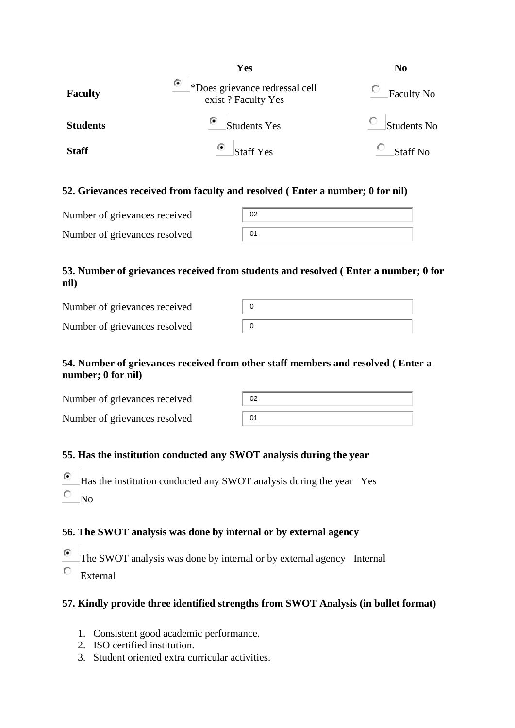|                 | Yes                                                       | N <sub>0</sub>  |
|-----------------|-----------------------------------------------------------|-----------------|
| <b>Faculty</b>  | O<br>*Does grievance redressal cell<br>exist? Faculty Yes | Faculty No      |
| <b>Students</b> | ⊙<br><b>Students Yes</b>                                  | Students No     |
| <b>Staff</b>    | ۰<br><b>Staff Yes</b>                                     | <b>Staff No</b> |

#### **52. Grievances received from faculty and resolved ( Enter a number; 0 for nil)**

| Number of grievances received | 02 |
|-------------------------------|----|
| Number of grievances resolved | 01 |

### **53. Number of grievances received from students and resolved ( Enter a number; 0 for nil)**

| Number of grievances received |  |
|-------------------------------|--|
| Number of grievances resolved |  |

# **54. Number of grievances received from other staff members and resolved ( Enter a number; 0 for nil)**

| Number of grievances received | 02 |
|-------------------------------|----|
| Number of grievances resolved | 01 |

# **55. Has the institution conducted any SWOT analysis during the year**

- $\odot$ Has the institution conducted any SWOT analysis during the year Yes
- О. No

# **56. The SWOT analysis was done by internal or by external agency**

- $\odot$ The SWOT analysis was done by internal or by external agency Internal  $\bigcirc$ External
- 

# **57. Kindly provide three identified strengths from SWOT Analysis (in bullet format)**

- 1. Consistent good academic performance.
- 2. ISO certified institution.
- 3. Student oriented extra curricular activities.